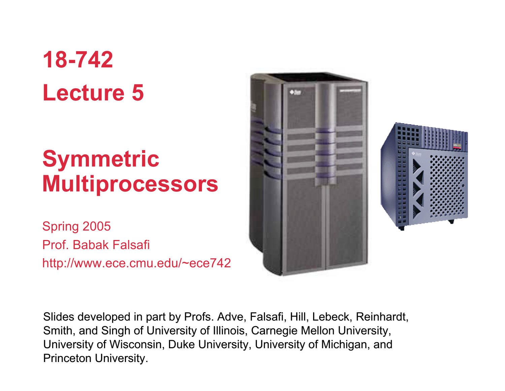# **18-742 Lecture 5**

## **Symmetric Multiprocessors**

Spring 2005 Prof. Babak Falsafi http://www.ece.cmu.edu/~ece742



Slides developed in part by Profs. Adve, Falsafi, Hill, Lebeck, Reinhardt, Smith, and Singh of University of Illinois, Carnegie Mellon University, University of Wisconsin, Duke University, University of Michigan, and Princeton University.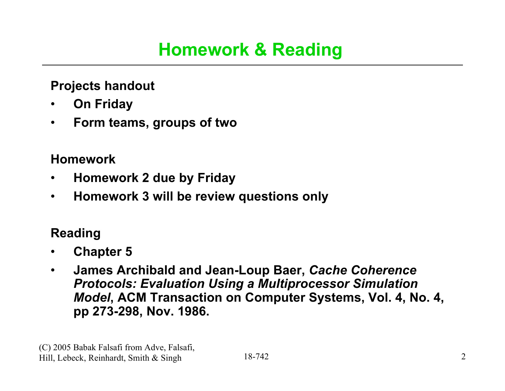### **Homework & Reading**

#### **Projects handout**

- **On Friday**
- **Form teams, groups of two**

#### **Homework**

- **Homework 2 due by Friday**
- **Homework 3 will be review questions only**

#### **Reading**

- **Chapter 5**
- **James Archibald and Jean-Loup Baer,** *Cache Coherence Protocols: Evaluation Using a Multiprocessor Simulation Model***, ACM Transaction on Computer Systems, Vol. 4, No. 4, pp 273-298, Nov. 1986.**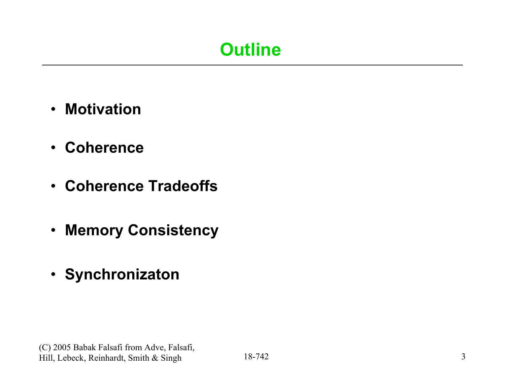## **Outline**

- **Motivation**
- **Coherence**
- **Coherence Tradeoffs**
- **Memory Consistency**
- **Synchronizaton**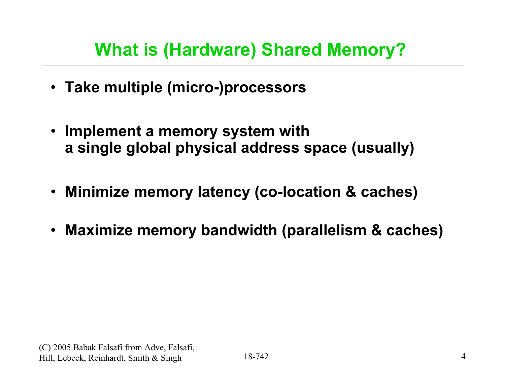### **What is (Hardware) Shared Memory?**

- **Take multiple (micro-)processors**
- **Implement a memory system with a single global physical address space (usually)**
- **Minimize memory latency (co-location & caches)**
- **Maximize memory bandwidth (parallelism & caches)**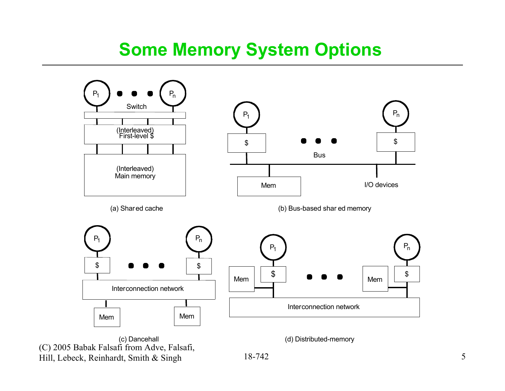#### **Some Memory System Options**



(C) 2005 Babak Falsafi from Adve, Falsafi, Hill, Lebeck, Reinhardt, Smith & Singh

18-742 5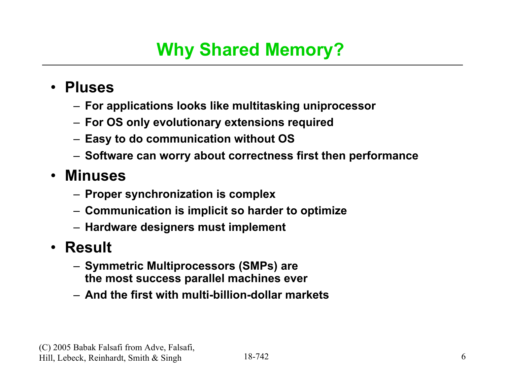## **Why Shared Memory?**

- **Pluses**
	- **For applications looks like multitasking uniprocessor**
	- **For OS only evolutionary extensions required**
	- **Easy to do communication without OS**
	- **Software can worry about correctness first then performance**

#### • **Minuses**

- **Proper synchronization is complex**
- **Communication is implicit so harder to optimize**
- **Hardware designers must implement**
- **Result**
	- **Symmetric Multiprocessors (SMPs) are the most success parallel machines ever**
	- **And the first with multi-billion-dollar markets**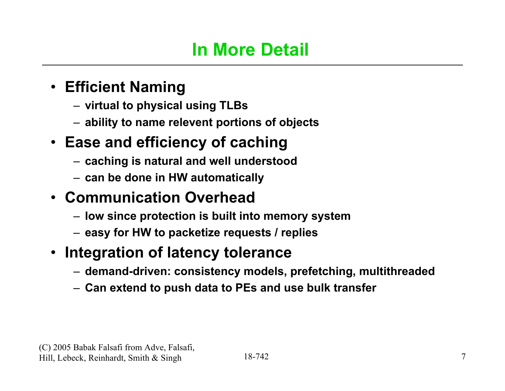### **In More Detail**

#### • **Efficient Naming**

- **virtual to physical using TLBs**
- **ability to name relevent portions of objects**

#### • **Ease and efficiency of caching**

- **caching is natural and well understood**
- **can be done in HW automatically**

#### • **Communication Overhead**

- **low since protection is built into memory system**
- **easy for HW to packetize requests / replies**
- **Integration of latency tolerance**
	- **demand-driven: consistency models, prefetching, multithreaded**
	- **Can extend to push data to PEs and use bulk transfer**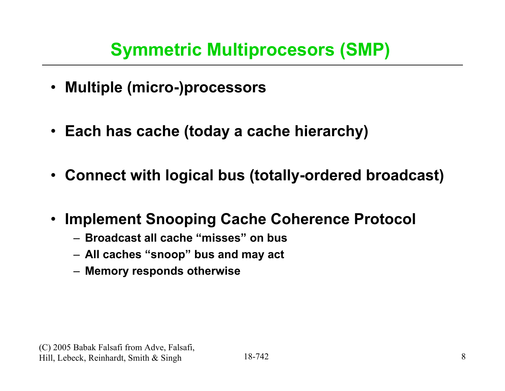- **Multiple (micro-)processors**
- **Each has cache (today a cache hierarchy)**
- **Connect with logical bus (totally-ordered broadcast)**
- **Implement Snooping Cache Coherence Protocol**
	- **Broadcast all cache "misses" on bus**
	- **All caches "snoop" bus and may act**
	- **Memory responds otherwise**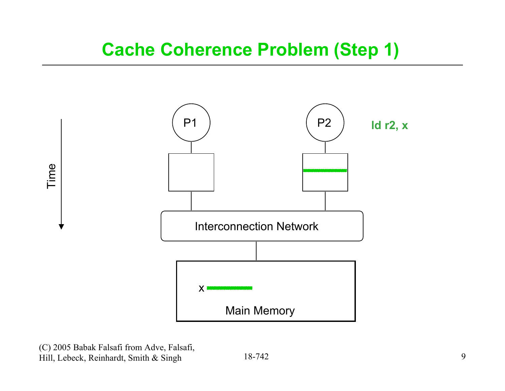

(C) 2005 Babak Falsafi from Adve, Falsafi, Hill, Lebeck, Reinhardt, Smith & Singh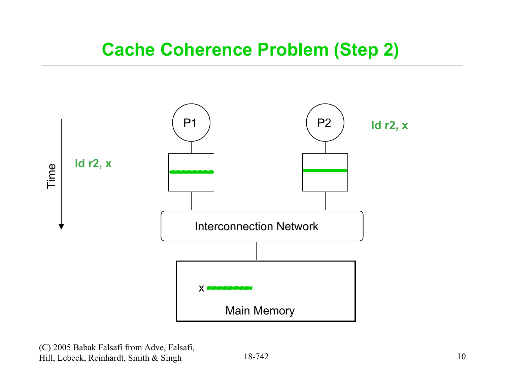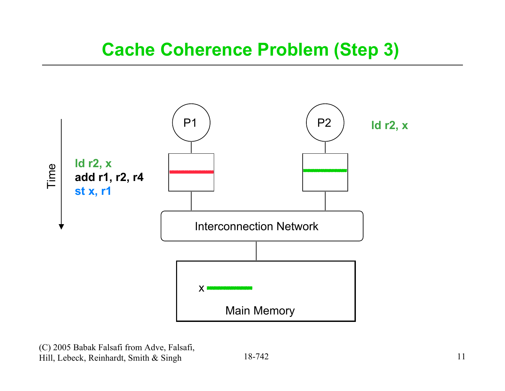

(C) 2005 Babak Falsafi from Adve, Falsafi, Hill, Lebeck, Reinhardt, Smith & Singh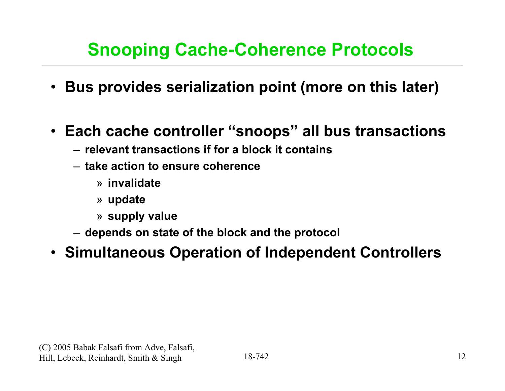### **Snooping Cache-Coherence Protocols**

- **Bus provides serialization point (more on this later)**
- **Each cache controller "snoops" all bus transactions**
	- **relevant transactions if for a block it contains**
	- **take action to ensure coherence**
		- » **invalidate**
		- » **update**
		- » **supply value**
	- **depends on state of the block and the protocol**
- **Simultaneous Operation of Independent Controllers**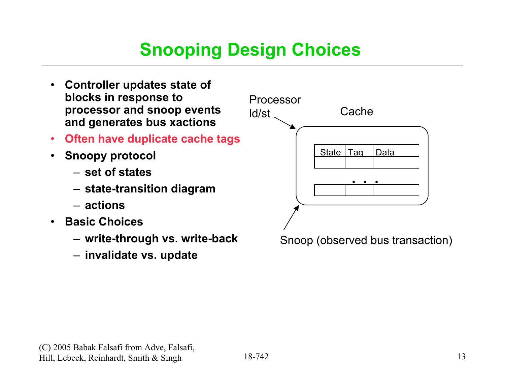### **Snooping Design Choices**

- **Controller updates state of blocks in response to processor and snoop events and generates bus xactions**
- **Often have duplicate cache tags**
- **Snoopy protocol**
	- **set of states**
	- **state-transition diagram**
	- **actions**
- **Basic Choices**
	- **write-through vs. write-back**
	- **invalidate vs. update**

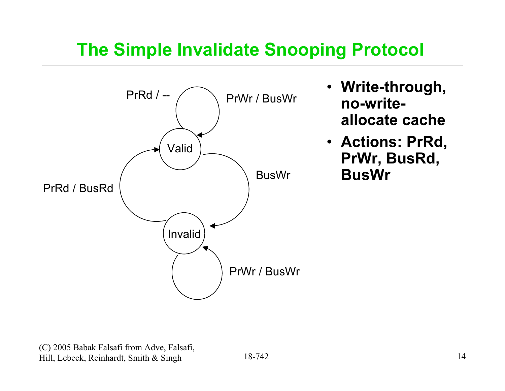#### **The Simple Invalidate Snooping Protocol**



- **Write-through, no-writeallocate cache**
- **Actions: PrRd, PrWr, BusRd, BusWr**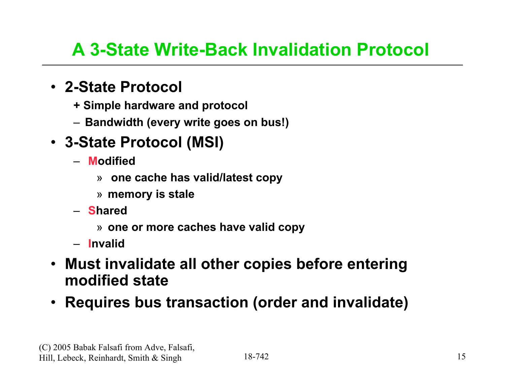### **A 3-State Write-Back Invalidation Protocol**

#### • **2-State Protocol**

- **+ Simple hardware and protocol**
- **Bandwidth (every write goes on bus!)**
- **3-State Protocol (MSI)**
	- **Modified**
		- » **one cache has valid/latest copy**
		- » **memory is stale**
	- **Shared**
		- » **one or more caches have valid copy**
	- **Invalid**
- **Must invalidate all other copies before entering modified state**
- **Requires bus transaction (order and invalidate)**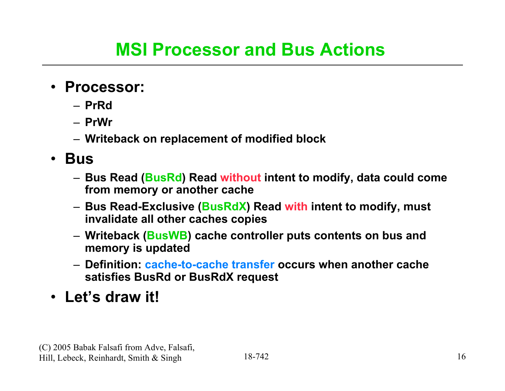- **Processor:**
	- **PrRd**
	- **PrWr**
	- **Writeback on replacement of modified block**

#### • **Bus**

- **Bus Read (BusRd) Read without intent to modify, data could come from memory or another cache**
- **Bus Read-Exclusive (BusRdX) Read with intent to modify, must invalidate all other caches copies**
- **Writeback (BusWB) cache controller puts contents on bus and memory is updated**
- **Definition: cache-to-cache transfer occurs when another cache satisfies BusRd or BusRdX request**

• **Let's draw it!**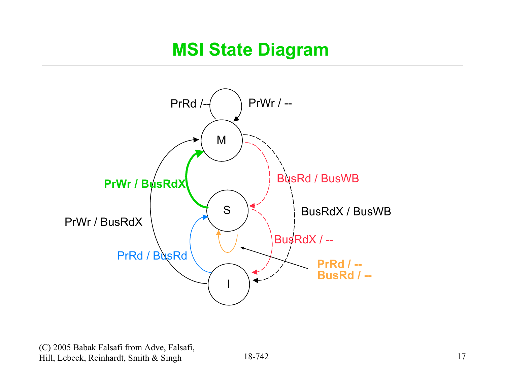

(C) 2005 Babak Falsafi from Adve, Falsafi, Hill, Lebeck, Reinhardt, Smith & Singh

18-742 17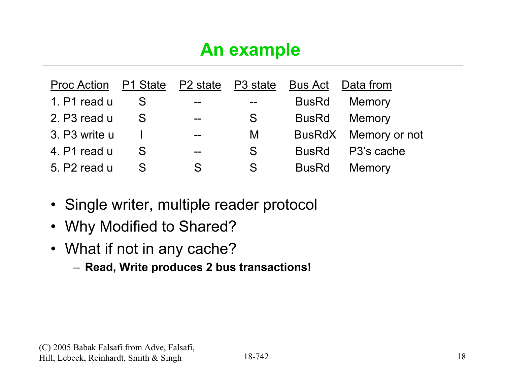### **An example**

| Proc Action P1 State P2 state P3 state |   |                          |       |              | Bus Act Data from    |
|----------------------------------------|---|--------------------------|-------|--------------|----------------------|
| 1. P1 read u                           |   | $- -$                    | $- -$ | <b>BusRd</b> | Memory               |
| 2. P3 read u                           | S | $-$                      | S     | <b>BusRd</b> | Memory               |
| 3. P3 write u                          |   | $\overline{\phantom{a}}$ | M     |              | BusRdX Memory or not |
| 4. P1 read u                           | S | $- -$                    | S     | <b>BusRd</b> | P3's cache           |
| 5. P2 read u                           | S | S                        | S     | <b>BusRd</b> | <b>Memory</b>        |

- Single writer, multiple reader protocol
- Why Modified to Shared?
- What if not in any cache?
	- **Read, Write produces 2 bus transactions!**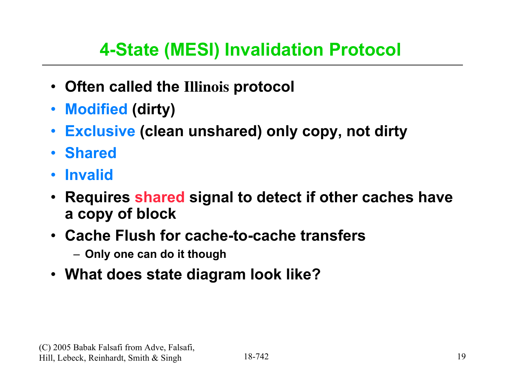## **4-State (MESI) Invalidation Protocol**

- **Often called the Illinois protocol**
- **Modified (dirty)**
- **Exclusive (clean unshared) only copy, not dirty**
- **Shared**
- **Invalid**
- **Requires shared signal to detect if other caches have a copy of block**
- **Cache Flush for cache-to-cache transfers**
	- **Only one can do it though**
- **What does state diagram look like?**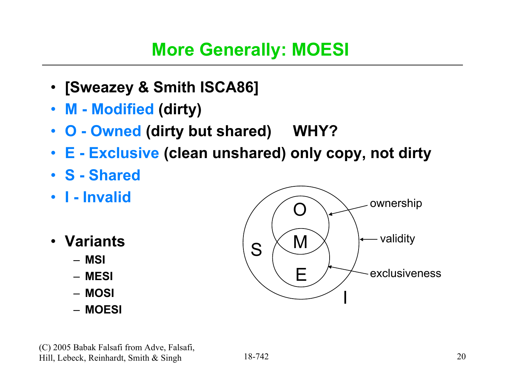#### **More Generally: MOESI**

- **[Sweazey & Smith ISCA86]**
- **M Modified (dirty)**
- **O Owned (dirty but shared) WHY?**
- **E Exclusive (clean unshared) only copy, not dirty**
- **S Shared**
- **I Invalid**
- **Variants**
	- **MSI**
	- **MESI**
	- **MOSI**
	- **MOESI**

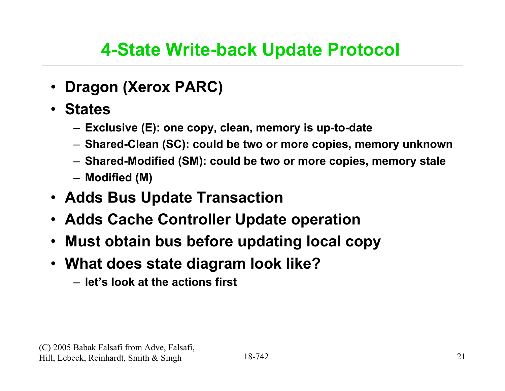### **4-State Write-back Update Protocol**

- **Dragon (Xerox PARC)**
- **States**
	- **Exclusive (E): one copy, clean, memory is up-to-date**
	- **Shared-Clean (SC): could be two or more copies, memory unknown**
	- **Shared-Modified (SM): could be two or more copies, memory stale**
	- **Modified (M)**
- **Adds Bus Update Transaction**
- **Adds Cache Controller Update operation**
- **Must obtain bus before updating local copy**
- **What does state diagram look like?**
	- **let's look at the actions first**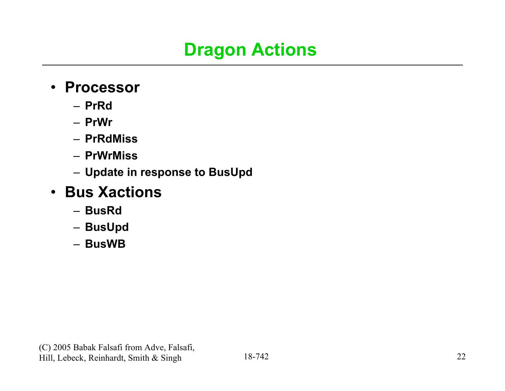### **Dragon Actions**

- **Processor**
	- **PrRd**
	- **PrWr**
	- **PrRdMiss**
	- **PrWrMiss**
	- **Update in response to BusUpd**

#### • **Bus Xactions**

- **BusRd**
- **BusUpd**
- **BusWB**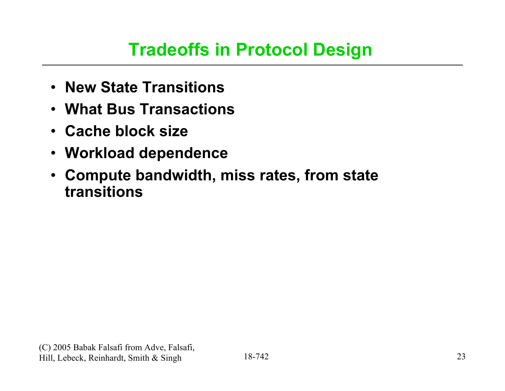#### **Tradeoffs in Protocol Design**

- **New State Transitions**
- **What Bus Transactions**
- **Cache block size**
- **Workload dependence**
- **Compute bandwidth, miss rates, from state transitions**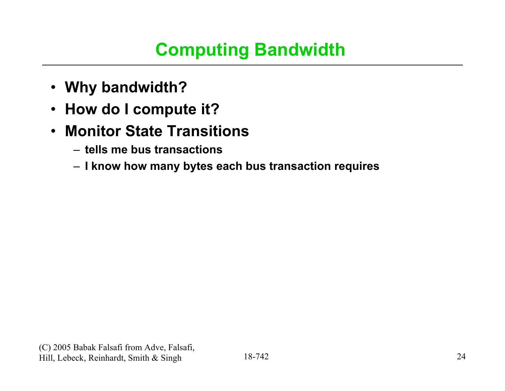### **Computing Bandwidth**

- **Why bandwidth?**
- **How do I compute it?**
- **Monitor State Transitions**
	- **tells me bus transactions**
	- **I know how many bytes each bus transaction requires**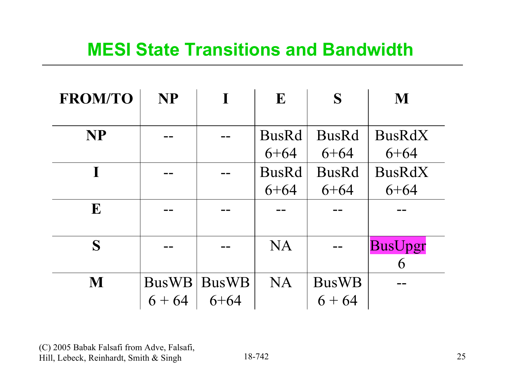#### **MESI State Transitions and Bandwidth**

| <b>FROM/TO</b> | <b>NP</b>                |                   | E                        | S                        | M                         |
|----------------|--------------------------|-------------------|--------------------------|--------------------------|---------------------------|
| <b>NP</b>      |                          |                   | <b>BusRd</b><br>$6 + 64$ | <b>BusRd</b><br>$6 + 64$ | <b>BusRdX</b><br>$6 + 64$ |
| T              |                          |                   | <b>BusRd</b><br>$6 + 64$ | <b>BusRd</b><br>$6 + 64$ | <b>BusRdX</b><br>$6 + 64$ |
| E              |                          |                   |                          |                          |                           |
| S              |                          |                   | <b>NA</b>                |                          | <b>BusUpgr</b><br>6       |
| M              | <b>BusWB</b><br>$6 + 64$ | BusWB<br>$6 + 64$ | <b>NA</b>                | <b>BusWB</b><br>$6 + 64$ |                           |

(C) 2005 Babak Falsafi from Adve, Falsafi, Hill, Lebeck, Reinhardt, Smith & Singh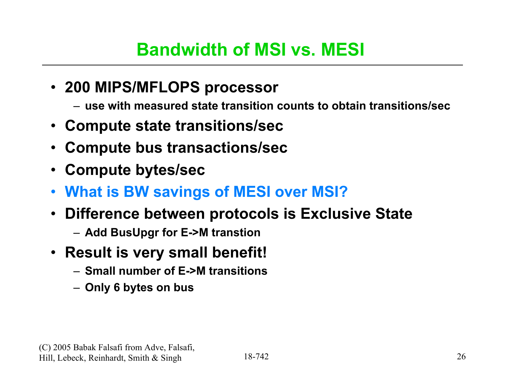### **Bandwidth of MSI vs. MESI**

- **200 MIPS/MFLOPS processor**
	- **use with measured state transition counts to obtain transitions/sec**
- **Compute state transitions/sec**
- **Compute bus transactions/sec**
- **Compute bytes/sec**
- **What is BW savings of MESI over MSI?**
- **Difference between protocols is Exclusive State**
	- **Add BusUpgr for E->M transtion**
- **Result is very small benefit!**
	- **Small number of E->M transitions**
	- **Only 6 bytes on bus**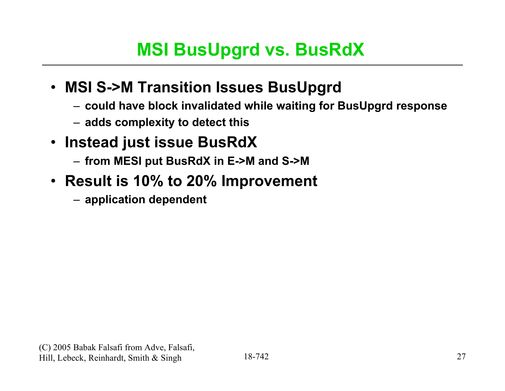### **MSI BusUpgrd vs. BusRdX**

#### • **MSI S->M Transition Issues BusUpgrd**

- **could have block invalidated while waiting for BusUpgrd response**
- **adds complexity to detect this**
- **Instead just issue BusRdX**
	- **from MESI put BusRdX in E->M and S->M**
- **Result is 10% to 20% Improvement**
	- **application dependent**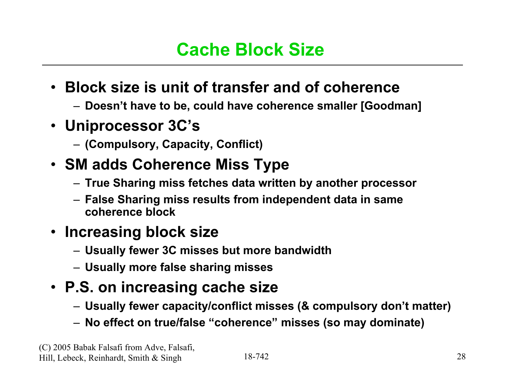### **Cache Block Size**

- **Block size is unit of transfer and of coherence**
	- **Doesn't have to be, could have coherence smaller [Goodman]**
- **Uniprocessor 3C's**
	- **(Compulsory, Capacity, Conflict)**
- **SM adds Coherence Miss Type**
	- **True Sharing miss fetches data written by another processor**
	- **False Sharing miss results from independent data in same coherence block**

#### • **Increasing block size**

- **Usually fewer 3C misses but more bandwidth**
- **Usually more false sharing misses**
- **P.S. on increasing cache size**
	- **Usually fewer capacity/conflict misses (& compulsory don't matter)**
	- **No effect on true/false "coherence" misses (so may dominate)**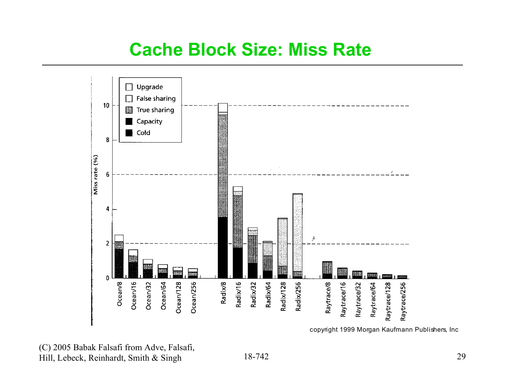#### **Cache Block Size: Miss Rate**



copyright 1999 Morgan Kaufmann Publishers, Inc

#### (C) 2005 Babak Falsafi from Adve, Falsafi, Hill, Lebeck, Reinhardt, Smith & Singh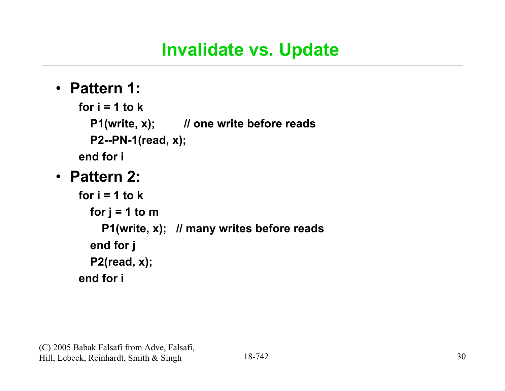### **Invalidate vs. Update**

#### • **Pattern 1:**

```
for i = 1 to k
  P1(write, x); // one write before reads
  P2--PN-1(read, x);
end for i
```
#### • **Pattern 2:**

```
for i = 1 to kfor j = 1 to m
    P1(write, x); // many writes before reads
  end for j
  P2(read, x);
end for i
```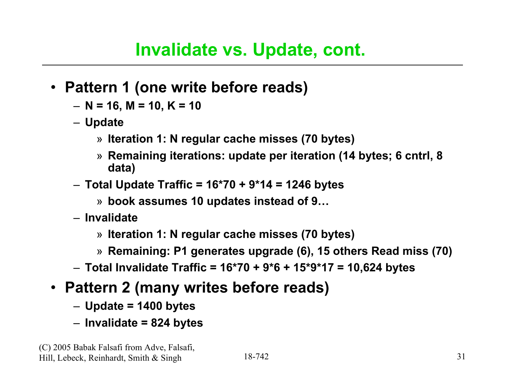- **Pattern 1 (one write before reads)**
	- **N = 16, M = 10, K = 10**
	- **Update**
		- » **Iteration 1: N regular cache misses (70 bytes)**
		- » **Remaining iterations: update per iteration (14 bytes; 6 cntrl, 8 data)**
	- **Total Update Traffic = 16\*70 + 9\*14 = 1246 bytes**
		- » **book assumes 10 updates instead of 9…**
	- **Invalidate**
		- » **Iteration 1: N regular cache misses (70 bytes)**
		- » **Remaining: P1 generates upgrade (6), 15 others Read miss (70)**
	- **Total Invalidate Traffic = 16\*70 + 9\*6 + 15\*9\*17 = 10,624 bytes**
- **Pattern 2 (many writes before reads)**
	- **Update = 1400 bytes**
	- **Invalidate = 824 bytes**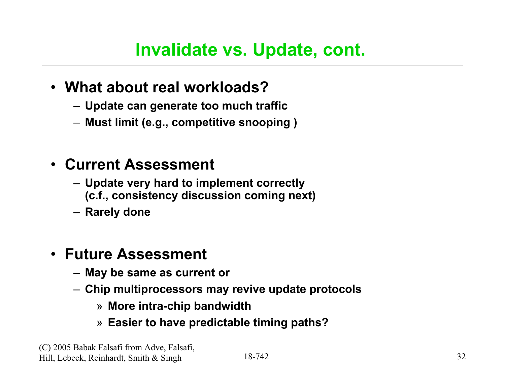- **What about real workloads?**
	- **Update can generate too much traffic**
	- **Must limit (e.g., competitive snooping )**

#### • **Current Assessment**

- **Update very hard to implement correctly (c.f., consistency discussion coming next)**
- **Rarely done**

#### • **Future Assessment**

- **May be same as current or**
- **Chip multiprocessors may revive update protocols**
	- » **More intra-chip bandwidth**
	- » **Easier to have predictable timing paths?**